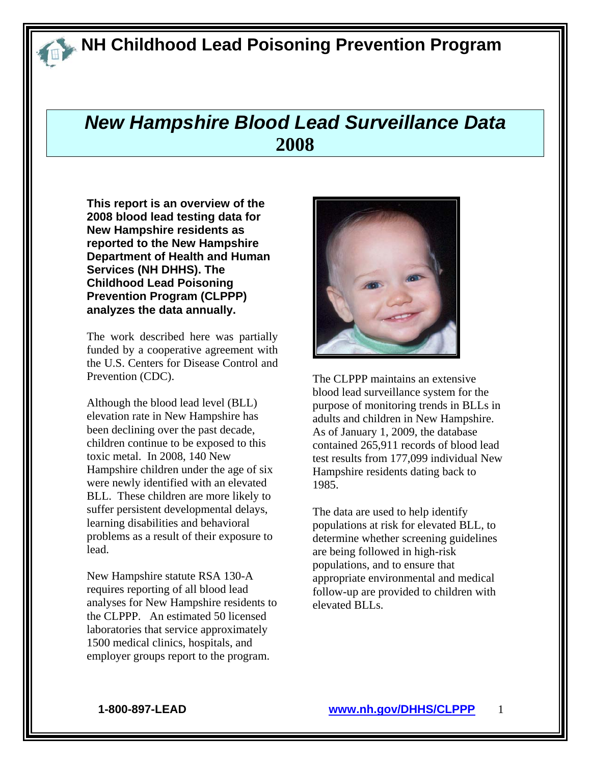## *New Hampshire Blood Lead Surveillance Data*  **2008**

**This report is an overview of the 2008 blood lead testing data for New Hampshire residents as reported to the New Hampshire Department of Health and Human Services (NH DHHS). The Childhood Lead Poisoning Prevention Program (CLPPP) analyzes the data annually.** 

The work described here was partially funded by a cooperative agreement with the U.S. Centers for Disease Control and Prevention (CDC).

Although the blood lead level (BLL) elevation rate in New Hampshire has been declining over the past decade, children continue to be exposed to this toxic metal. In 2008, 140 New Hampshire children under the age of six were newly identified with an elevated BLL. These children are more likely to suffer persistent developmental delays, learning disabilities and behavioral problems as a result of their exposure to lead.

New Hampshire statute RSA 130-A requires reporting of all blood lead analyses for New Hampshire residents to the CLPPP. An estimated 50 licensed laboratories that service approximately 1500 medical clinics, hospitals, and employer groups report to the program.



The CLPPP maintains an extensive blood lead surveillance system for the purpose of monitoring trends in BLLs in adults and children in New Hampshire. As of January 1, 2009, the database contained 265,911 records of blood lead test results from 177,099 individual New Hampshire residents dating back to 1985.

The data are used to help identify populations at risk for elevated BLL, to determine whether screening guidelines are being followed in high-risk populations, and to ensure that appropriate environmental and medical follow-up are provided to children with elevated BLLs.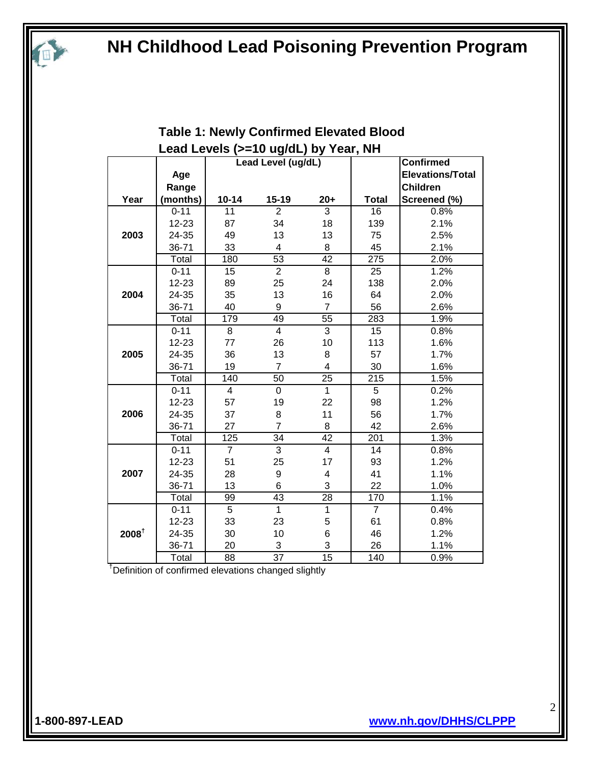|                   |          |                | Lead Levels (>=10 ug/dL) by Year, NH |                 |                |                         |
|-------------------|----------|----------------|--------------------------------------|-----------------|----------------|-------------------------|
|                   |          |                | Lead Level (ug/dL)                   |                 |                | <b>Confirmed</b>        |
|                   | Age      |                |                                      |                 |                | <b>Elevations/Total</b> |
|                   | Range    |                |                                      |                 |                | <b>Children</b>         |
| Year              | (months) | $10 - 14$      | $15 - 19$                            | $20+$           | <b>Total</b>   | Screened (%)            |
|                   | $0 - 11$ | 11             | $\overline{2}$                       | 3               | 16             | 0.8%                    |
|                   | 12-23    | 87             | 34                                   | 18              | 139            | 2.1%                    |
| 2003              | 24-35    | 49             | 13                                   | 13              | 75             | 2.5%                    |
|                   | 36-71    | 33             | 4                                    | 8               | 45             | 2.1%                    |
|                   | Total    | 180            | $\overline{53}$                      | $\overline{42}$ | 275            | 2.0%                    |
|                   | $0 - 11$ | 15             | $\overline{2}$                       | 8               | 25             | 1.2%                    |
|                   | 12-23    | 89             | 25                                   | 24              | 138            | 2.0%                    |
| 2004              | 24-35    | 35             | 13                                   | 16              | 64             | 2.0%                    |
|                   | 36-71    | 40             | 9                                    | $\overline{7}$  | 56             | 2.6%                    |
|                   | Total    | 179            | 49                                   | $\overline{55}$ | 283            | 1.9%                    |
|                   | $0 - 11$ | 8              | $\overline{4}$                       | $\overline{3}$  | 15             | 0.8%                    |
|                   | 12-23    | 77             | 26                                   | 10              | 113            | 1.6%                    |
| 2005              | 24-35    | 36             | 13                                   | 8               | 57             | 1.7%                    |
|                   | 36-71    | 19             | $\overline{7}$                       | 4               | 30             | 1.6%                    |
|                   | Total    | 140            | 50                                   | 25              | 215            | 1.5%                    |
|                   | $0 - 11$ | $\overline{4}$ | $\mathbf 0$                          | $\mathbf{1}$    | 5              | 0.2%                    |
|                   | 12-23    | 57             | 19                                   | 22              | 98             | 1.2%                    |
| 2006              | 24-35    | 37             | 8                                    | 11              | 56             | 1.7%                    |
|                   | 36-71    | 27             | $\overline{7}$                       | 8               | 42             | 2.6%                    |
|                   | Total    | 125            | $\overline{34}$                      | $\overline{42}$ | 201            | 1.3%                    |
|                   | $0 - 11$ | $\overline{7}$ | 3                                    | $\overline{4}$  | 14             | 0.8%                    |
|                   | 12-23    | 51             | 25                                   | 17              | 93             | 1.2%                    |
| 2007              | 24-35    | 28             | 9                                    | 4               | 41             | 1.1%                    |
|                   | 36-71    | 13             | 6                                    | 3               | 22             | 1.0%                    |
|                   | Total    | 99             | $\overline{43}$                      | 28              | 170            | 1.1%                    |
|                   | $0 - 11$ | 5              | $\mathbf{1}$                         | $\mathbf{1}$    | $\overline{7}$ | 0.4%                    |
|                   | 12-23    | 33             | 23                                   | 5               | 61             | 0.8%                    |
| 2008 <sup>†</sup> | 24-35    | 30             | 10                                   | 6               | 46             | 1.2%                    |
|                   | 36-71    | 20             | 3                                    | 3               | 26             | 1.1%                    |
|                   | Total    | 88             | 37                                   | $\overline{15}$ | 140            | 0.9%                    |

#### **Table 1: Newly Confirmed Elevated Blood Lead Levels (>=10 ug/dL) by Year, NH**

† Definition of confirmed elevations changed slightly

E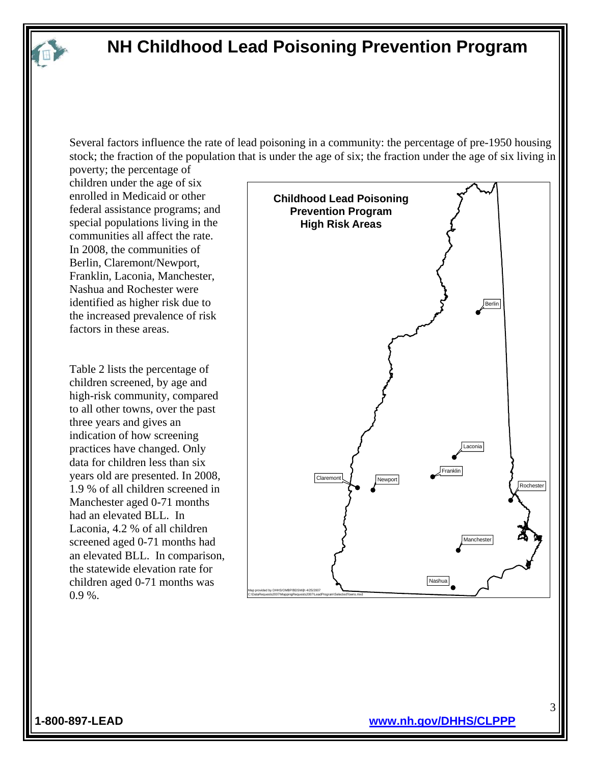Several factors influence the rate of lead poisoning in a community: the percentage of pre-1950 housing stock; the fraction of the population that is under the age of six; the fraction under the age of six living in

poverty; the percentage of children under the age of six enrolled in Medicaid or other federal assistance programs; and special populations living in the communities all affect the rate. In 2008, the communities of Berlin, Claremont/Newport, Franklin, Laconia, Manchester, Nashua and Rochester were identified as higher risk due to the increased prevalence of risk factors in these areas.

Table 2 lists the percentage of children screened, by age and high-risk community, compared to all other towns, over the past three years and gives an indication of how screening practices have changed. Only data for children less than six years old are presented. In 2008, 1.9 % of all children screened in Manchester aged 0-71 months had an elevated BLL. In Laconia, 4.2 % of all children screened aged 0-71 months had an elevated BLL. In comparison, the statewide elevation rate for children aged 0-71 months was 0.9 %.

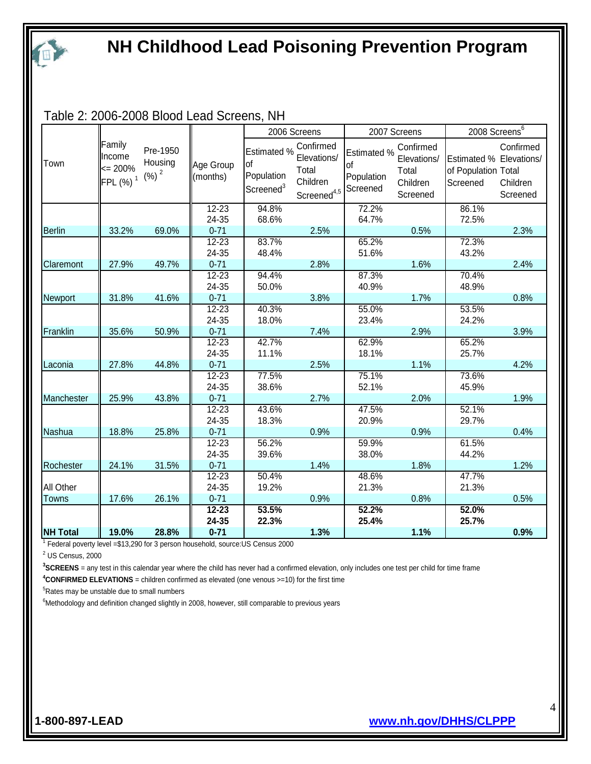

Table 2: 2006-2008 Blood Lead Screens, NH

|                 |                                                          |                                         |                       | 2006 Screens                                             |                                                                                   | 2007 Screens                    |                                                           | 2008 Screens <sup>6</sup>                                  |                                   |
|-----------------|----------------------------------------------------------|-----------------------------------------|-----------------------|----------------------------------------------------------|-----------------------------------------------------------------------------------|---------------------------------|-----------------------------------------------------------|------------------------------------------------------------|-----------------------------------|
| Town            | Family<br>Income<br>$\leq$ 200%<br>$FPL(%)$ <sup>1</sup> | Pre-1950<br>Housing<br>(%) <sup>2</sup> | Age Group<br>(months) | Estimated %<br>of<br>Population<br>Screened <sup>3</sup> | Confirmed<br>Elevations/<br>Total<br>Children<br>Screened <sup>4,5</sup> Screened | Estimated %<br>of<br>Population | Confirmed<br>Elevations/<br>Total<br>Children<br>Screened | Estimated % Elevations/<br>of Population Total<br>Screened | Confirmed<br>Children<br>Screened |
|                 |                                                          |                                         | $12 - 23$             | 94.8%                                                    |                                                                                   | 72.2%                           |                                                           | 86.1%                                                      |                                   |
|                 |                                                          |                                         | 24-35                 | 68.6%                                                    |                                                                                   | 64.7%                           |                                                           | 72.5%                                                      |                                   |
| <b>Berlin</b>   | 33.2%                                                    | 69.0%                                   | $0 - 71$              |                                                          | 2.5%                                                                              |                                 | 0.5%                                                      |                                                            | 2.3%                              |
|                 |                                                          |                                         | $12 - 23$             | 83.7%                                                    |                                                                                   | 65.2%                           |                                                           | 72.3%                                                      |                                   |
|                 |                                                          |                                         | 24-35                 | 48.4%                                                    |                                                                                   | 51.6%                           |                                                           | 43.2%                                                      |                                   |
| Claremont       | 27.9%                                                    | 49.7%                                   | $0 - 71$              |                                                          | 2.8%                                                                              |                                 | 1.6%                                                      |                                                            | 2.4%                              |
|                 |                                                          |                                         | $12 - 23$             | 94.4%                                                    |                                                                                   | 87.3%                           |                                                           | 70.4%                                                      |                                   |
|                 |                                                          |                                         | 24-35                 | 50.0%                                                    |                                                                                   | 40.9%                           |                                                           | 48.9%                                                      |                                   |
| Newport         | 31.8%                                                    | 41.6%                                   | $0 - 71$              |                                                          | 3.8%                                                                              |                                 | 1.7%                                                      |                                                            | 0.8%                              |
|                 |                                                          |                                         | $12 - 23$             | 40.3%                                                    |                                                                                   | 55.0%                           |                                                           | 53.5%                                                      |                                   |
|                 |                                                          |                                         | 24-35                 | 18.0%                                                    |                                                                                   | 23.4%                           |                                                           | 24.2%                                                      |                                   |
| Franklin        | 35.6%                                                    | 50.9%                                   | $0 - 71$              |                                                          | 7.4%                                                                              |                                 | 2.9%                                                      |                                                            | 3.9%                              |
|                 |                                                          |                                         | $12 - 23$             | 42.7%                                                    |                                                                                   | 62.9%                           |                                                           | 65.2%                                                      |                                   |
|                 |                                                          |                                         | 24-35                 | 11.1%                                                    |                                                                                   | 18.1%                           |                                                           | 25.7%                                                      |                                   |
| Laconia         | 27.8%                                                    | 44.8%                                   | $0 - 71$              |                                                          | 2.5%                                                                              |                                 | 1.1%                                                      |                                                            | 4.2%                              |
|                 |                                                          |                                         | $12 - 23$             | 77.5%                                                    |                                                                                   | 75.1%                           |                                                           | 73.6%                                                      |                                   |
|                 |                                                          |                                         | 24-35                 | 38.6%                                                    |                                                                                   | 52.1%                           |                                                           | 45.9%                                                      |                                   |
| Manchester      | 25.9%                                                    | 43.8%                                   | $0 - 71$              |                                                          | 2.7%                                                                              |                                 | 2.0%                                                      |                                                            | 1.9%                              |
|                 |                                                          |                                         | $12 - 23$             | 43.6%                                                    |                                                                                   | 47.5%                           |                                                           | 52.1%                                                      |                                   |
|                 |                                                          |                                         | 24-35                 | 18.3%                                                    |                                                                                   | 20.9%                           |                                                           | 29.7%                                                      |                                   |
| Nashua          | 18.8%                                                    | 25.8%                                   | $0 - 71$              |                                                          | 0.9%                                                                              |                                 | 0.9%                                                      |                                                            | 0.4%                              |
|                 |                                                          |                                         | $12 - 23$             | 56.2%                                                    |                                                                                   | 59.9%                           |                                                           | 61.5%                                                      |                                   |
|                 |                                                          |                                         | 24-35                 | 39.6%                                                    |                                                                                   | 38.0%                           |                                                           | 44.2%                                                      |                                   |
| Rochester       | 24.1%                                                    | 31.5%                                   | $0 - 71$              |                                                          | 1.4%                                                                              |                                 | 1.8%                                                      |                                                            | 1.2%                              |
|                 |                                                          |                                         | $12 - 23$             | 50.4%                                                    |                                                                                   | 48.6%                           |                                                           | 47.7%                                                      |                                   |
| All Other       |                                                          |                                         | 24-35                 | 19.2%                                                    |                                                                                   | 21.3%                           |                                                           | 21.3%                                                      |                                   |
| Towns           | 17.6%                                                    | 26.1%                                   | $0 - 71$              |                                                          | 0.9%                                                                              |                                 | 0.8%                                                      |                                                            | 0.5%                              |
|                 |                                                          |                                         | $12 - 23$             | 53.5%                                                    |                                                                                   | 52.2%                           |                                                           | 52.0%                                                      |                                   |
|                 |                                                          |                                         | 24-35                 | 22.3%                                                    |                                                                                   | 25.4%                           |                                                           | 25.7%                                                      |                                   |
| <b>NH Total</b> | 19.0%                                                    | 28.8%                                   | $0 - 71$              |                                                          | 1.3%                                                                              |                                 | 1.1%                                                      |                                                            | 0.9%                              |

<sup>1</sup> Federal poverty level =\$13,290 for 3 person household, source:US Census 2000

 $2$  US Census, 2000

**3 SCREENS** = any test in this calendar year where the child has never had a confirmed elevation, only includes one test per child for time frame

**4 CONFIRMED ELEVATIONS** = children confirmed as elevated (one venous >=10) for the first time

<sup>5</sup>Rates may be unstable due to small numbers

 $6$ Methodology and definition changed slightly in 2008, however, still comparable to previous years

l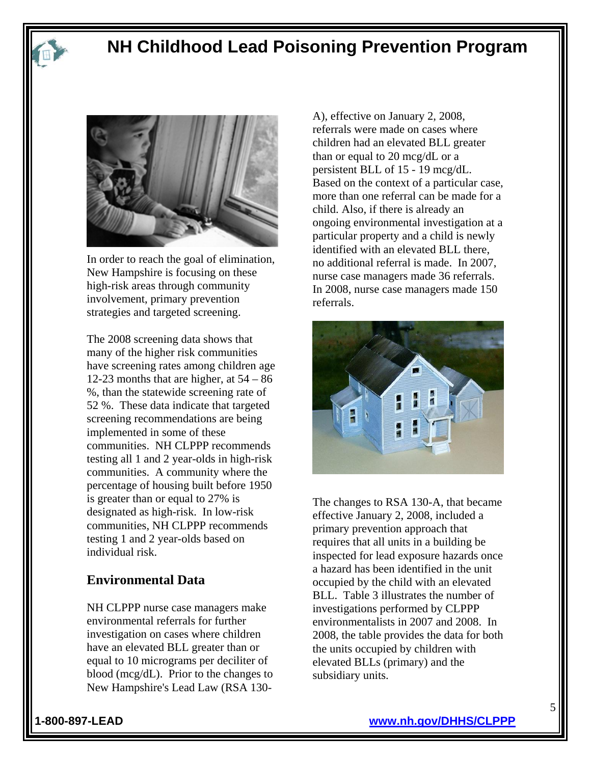



In order to reach the goal of elimination, New Hampshire is focusing on these high-risk areas through community involvement, primary prevention strategies and targeted screening.

The 2008 screening data shows that many of the higher risk communities have screening rates among children age 12-23 months that are higher, at  $54 - 86$ %, than the statewide screening rate of 52 %. These data indicate that targeted screening recommendations are being implemented in some of these communities. NH CLPPP recommends testing all 1 and 2 year-olds in high-risk communities. A community where the percentage of housing built before 1950 is greater than or equal to 27% is designated as high-risk. In low-risk communities, NH CLPPP recommends testing 1 and 2 year-olds based on individual risk.

#### **Environmental Data**

NH CLPPP nurse case managers make environmental referrals for further investigation on cases where children have an elevated BLL greater than or equal to 10 micrograms per deciliter of blood (mcg/dL). Prior to the changes to New Hampshire's Lead Law (RSA 130A), effective on January 2, 2008, referrals were made on cases where children had an elevated BLL greater than or equal to 20 mcg/dL or a persistent BLL of 15 - 19 mcg/dL. Based on the context of a particular case, more than one referral can be made for a child. Also, if there is already an ongoing environmental investigation at a particular property and a child is newly identified with an elevated BLL there, no additional referral is made. In 2007, nurse case managers made 36 referrals. In 2008, nurse case managers made 150 referrals.



The changes to RSA 130-A, that became effective January 2, 2008, included a primary prevention approach that requires that all units in a building be inspected for lead exposure hazards once a hazard has been identified in the unit occupied by the child with an elevated BLL. Table 3 illustrates the number of investigations performed by CLPPP environmentalists in 2007 and 2008. In 2008, the table provides the data for both the units occupied by children with elevated BLLs (primary) and the subsidiary units.